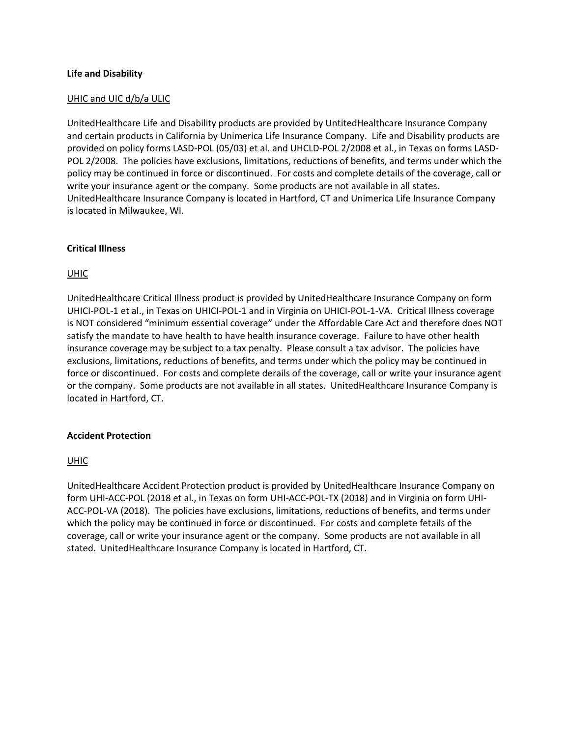### **Life and Disability**

#### UHIC and UIC d/b/a ULIC

UnitedHealthcare Life and Disability products are provided by UntitedHealthcare Insurance Company and certain products in California by Unimerica Life Insurance Company. Life and Disability products are provided on policy forms LASD-POL (05/03) et al. and UHCLD-POL 2/2008 et al., in Texas on forms LASD-POL 2/2008. The policies have exclusions, limitations, reductions of benefits, and terms under which the policy may be continued in force or discontinued. For costs and complete details of the coverage, call or write your insurance agent or the company. Some products are not available in all states. UnitedHealthcare Insurance Company is located in Hartford, CT and Unimerica Life Insurance Company is located in Milwaukee, WI.

### **Critical Illness**

# UHIC

UnitedHealthcare Critical Illness product is provided by UnitedHealthcare Insurance Company on form UHICI-POL-1 et al., in Texas on UHICI-POL-1 and in Virginia on UHICI-POL-1-VA. Critical Illness coverage is NOT considered "minimum essential coverage" under the Affordable Care Act and therefore does NOT satisfy the mandate to have health to have health insurance coverage. Failure to have other health insurance coverage may be subject to a tax penalty. Please consult a tax advisor. The policies have exclusions, limitations, reductions of benefits, and terms under which the policy may be continued in force or discontinued. For costs and complete derails of the coverage, call or write your insurance agent or the company. Some products are not available in all states. UnitedHealthcare Insurance Company is located in Hartford, CT.

# **Accident Protection**

# **UHIC**

UnitedHealthcare Accident Protection product is provided by UnitedHealthcare Insurance Company on form UHI-ACC-POL (2018 et al., in Texas on form UHI-ACC-POL-TX (2018) and in Virginia on form UHI-ACC-POL-VA (2018). The policies have exclusions, limitations, reductions of benefits, and terms under which the policy may be continued in force or discontinued. For costs and complete fetails of the coverage, call or write your insurance agent or the company. Some products are not available in all stated. UnitedHealthcare Insurance Company is located in Hartford, CT.